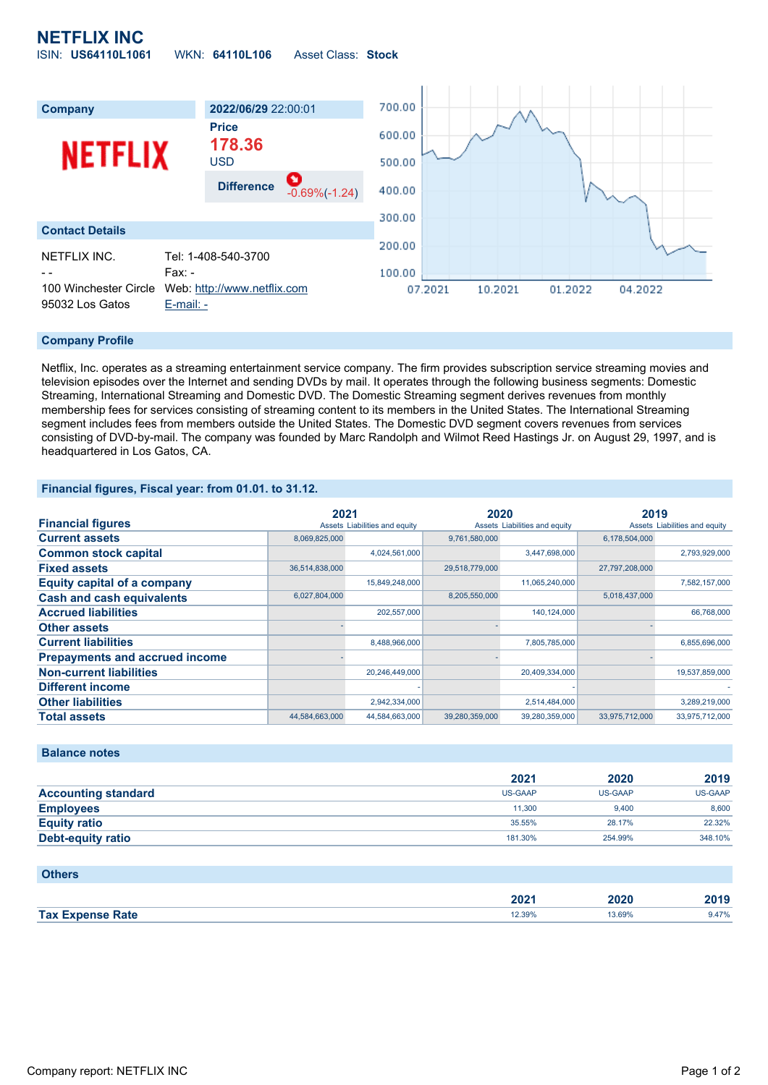## **NETFLIX INC** ISIN: **US64110L1061** WKN: **64110L106** Asset Class: **Stock**



### **Company Profile**

Netflix, Inc. operates as a streaming entertainment service company. The firm provides subscription service streaming movies and television episodes over the Internet and sending DVDs by mail. It operates through the following business segments: Domestic Streaming, International Streaming and Domestic DVD. The Domestic Streaming segment derives revenues from monthly membership fees for services consisting of streaming content to its members in the United States. The International Streaming segment includes fees from members outside the United States. The Domestic DVD segment covers revenues from services consisting of DVD-by-mail. The company was founded by Marc Randolph and Wilmot Reed Hastings Jr. on August 29, 1997, and is headquartered in Los Gatos, CA.

### **Financial figures, Fiscal year: from 01.01. to 31.12.**

|                                       | 2021           |                               | 2020           |                               | 2019           |                               |
|---------------------------------------|----------------|-------------------------------|----------------|-------------------------------|----------------|-------------------------------|
| <b>Financial figures</b>              |                | Assets Liabilities and equity |                | Assets Liabilities and equity |                | Assets Liabilities and equity |
| <b>Current assets</b>                 | 8,069,825,000  |                               | 9,761,580,000  |                               | 6,178,504,000  |                               |
| <b>Common stock capital</b>           |                | 4,024,561,000                 |                | 3,447,698,000                 |                | 2,793,929,000                 |
| <b>Fixed assets</b>                   | 36,514,838,000 |                               | 29,518,779,000 |                               | 27,797,208,000 |                               |
| <b>Equity capital of a company</b>    |                | 15,849,248,000                |                | 11,065,240,000                |                | 7,582,157,000                 |
| <b>Cash and cash equivalents</b>      | 6,027,804,000  |                               | 8,205,550,000  |                               | 5,018,437,000  |                               |
| <b>Accrued liabilities</b>            |                | 202,557,000                   |                | 140,124,000                   |                | 66,768,000                    |
| <b>Other assets</b>                   |                |                               |                |                               |                |                               |
| <b>Current liabilities</b>            |                | 8,488,966,000                 |                | 7,805,785,000                 |                | 6,855,696,000                 |
| <b>Prepayments and accrued income</b> |                |                               |                |                               |                |                               |
| <b>Non-current liabilities</b>        |                | 20,246,449,000                |                | 20,409,334,000                |                | 19,537,859,000                |
| <b>Different income</b>               |                |                               |                |                               |                |                               |
| <b>Other liabilities</b>              |                | 2,942,334,000                 |                | 2,514,484,000                 |                | 3,289,219,000                 |
| <b>Total assets</b>                   | 44,584,663,000 | 44,584,663,000                | 39,280,359,000 | 39,280,359,000                | 33,975,712,000 | 33,975,712,000                |

#### **Balance notes**

|                            | 2021    | 2020    | 2019    |
|----------------------------|---------|---------|---------|
| <b>Accounting standard</b> | US-GAAP | US-GAAP | US-GAAP |
| <b>Employees</b>           | 11.300  | 9.400   | 8.600   |
| <b>Equity ratio</b>        | 35.55%  | 28.17%  | 22.32%  |
| <b>Debt-equity ratio</b>   | 181.30% | 254.99% | 348.10% |

| <b>Others</b>           |        |        |       |
|-------------------------|--------|--------|-------|
|                         | 2021   | 2020   | 2019  |
| <b>Tax Expense Rate</b> | 12.39% | 13.69% | 9.47% |